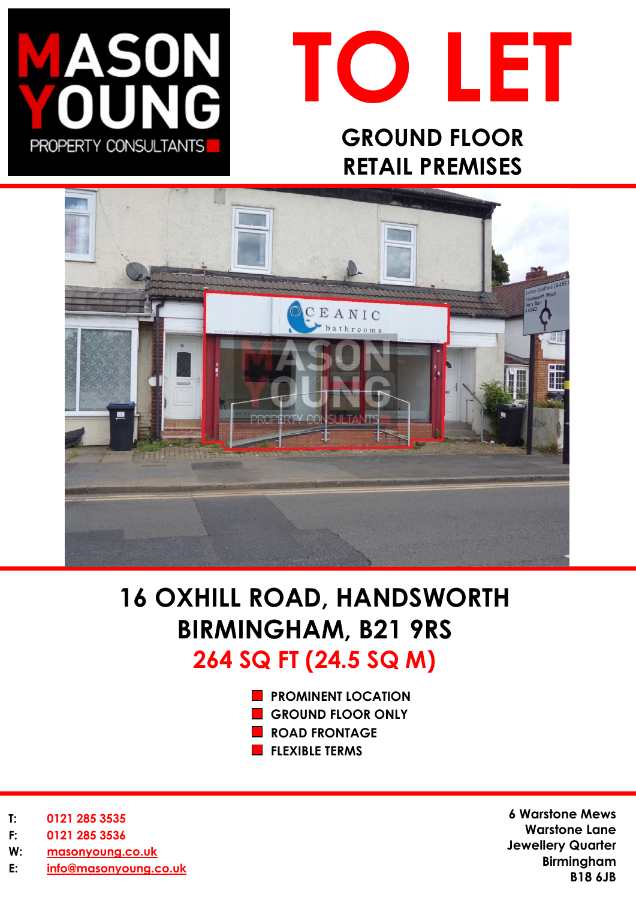



# **GROUND FLOOR RETAIL PREMISES**



# **16 OXHILL ROAD, HANDSWORTH BIRMINGHAM, B21 9RS 264 SQ FT (24.5 SQ M)**

- **PROMINENT LOCATION**
- **GROUND FLOOR ONLY**
- **ROAD FRONTAGE**
- **FLEXIBLE TERMS**

- **T: 0121 285 3535**
- **F: 0121 285 3536**
- **W: [masonyoung.co.uk](http://www.masonyoung.co.uk/)**
- **E: [info@masonyoung.co.uk](mailto:info@masonyoung.co.uk)**

**6 Warstone Mews Warstone Lane Jewellery Quarter Birmingham B18 6JB**